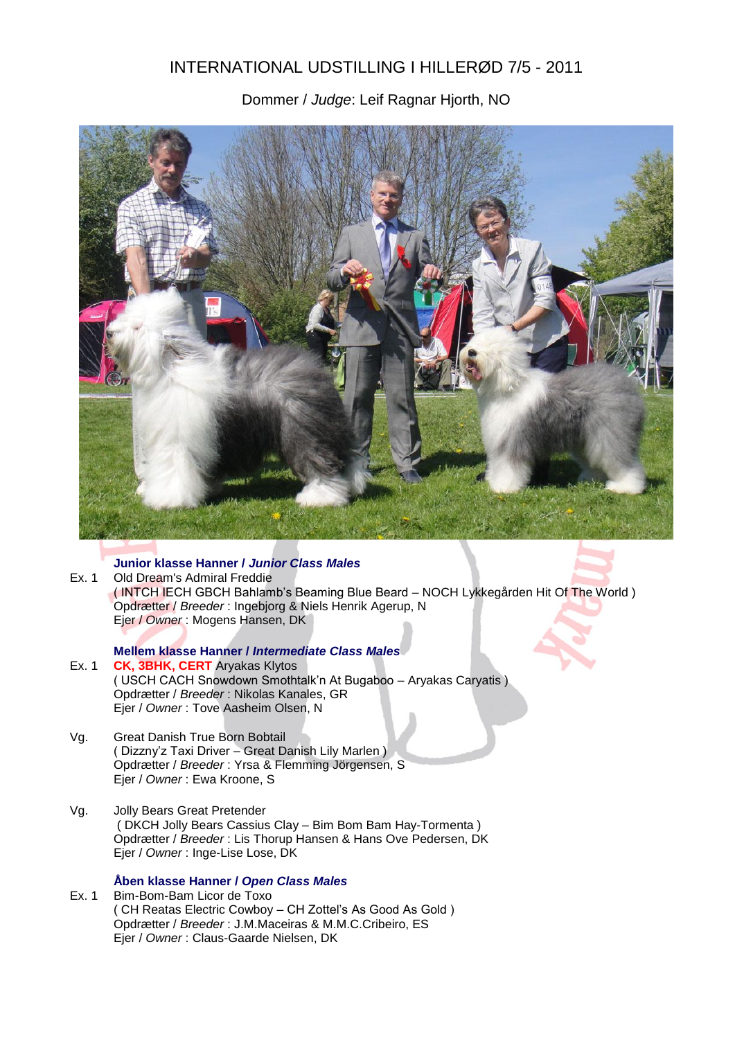# INTERNATIONAL UDSTILLING I HILLERØD 7/5 - 2011

Dommer / *Judge*: Leif Ragnar Hjorth, NO



# **Junior klasse Hanner /** *Junior Class Males*

Ex. 1 Old Dream's Admiral Freddie ( INTCH IECH GBCH Bahlamb's Beaming Blue Beard – NOCH Lykkegården Hit Of The World ) Opdrætter / *Breeder* : Ingebjorg & Niels Henrik Agerup, N Ejer / *Owner* : Mogens Hansen, DK

## **Mellem klasse Hanner /** *Intermediate Class Males*

- Ex. 1 **CK, 3BHK, CERT** Aryakas Klytos ( USCH CACH Snowdown Smothtalk'n At Bugaboo – Aryakas Caryatis ) Opdrætter / *Breeder* : Nikolas Kanales, GR Ejer / *Owner* : Tove Aasheim Olsen, N
- Vg. Great Danish True Born Bobtail ( Dizzny'z Taxi Driver – Great Danish Lily Marlen ) Opdrætter / *Breeder* : Yrsa & Flemming Jörgensen, S Ejer / *Owner* : Ewa Kroone, S
- Vg. Jolly Bears Great Pretender ( DKCH Jolly Bears Cassius Clay – Bim Bom Bam Hay-Tormenta ) Opdrætter / *Breeder* : Lis Thorup Hansen & Hans Ove Pedersen, DK Ejer / *Owner* : Inge-Lise Lose, DK

# **Åben klasse Hanner /** *Open Class Males*

Ex. 1 Bim-Bom-Bam Licor de Toxo ( CH Reatas Electric Cowboy – CH Zottel's As Good As Gold ) Opdrætter / *Breeder* : J.M.Maceiras & M.M.C.Cribeiro, ES Ejer / *Owner* : Claus-Gaarde Nielsen, DK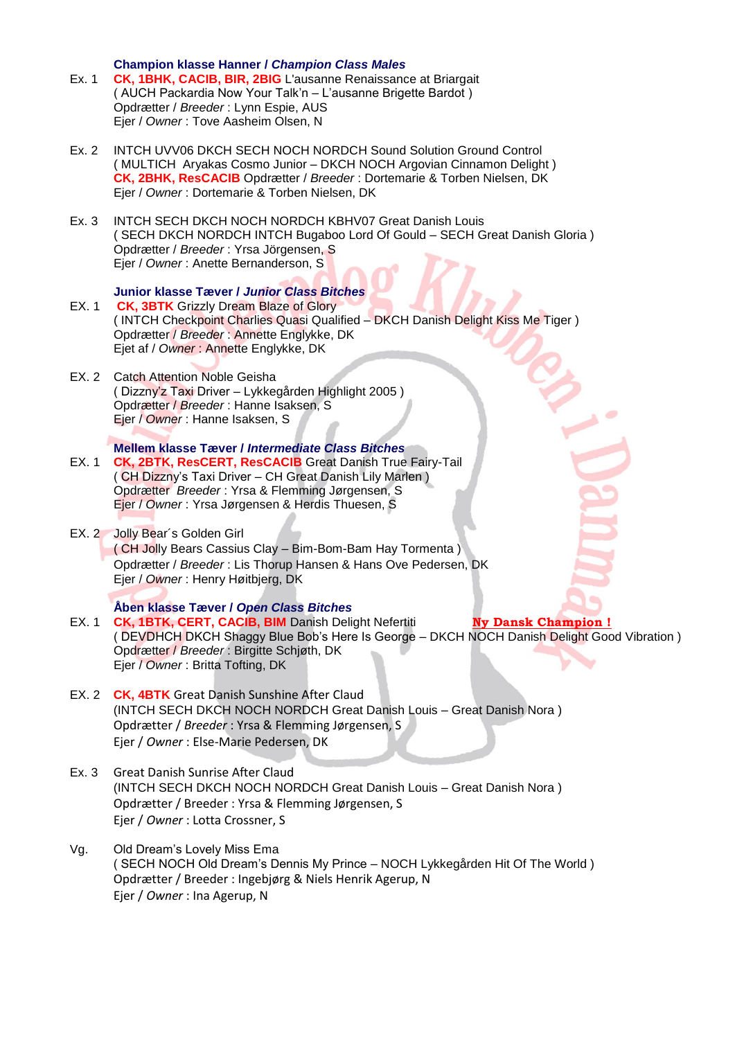**Champion klasse Hanner /** *Champion Class Males*

- Ex. 1 **CK, 1BHK, CACIB, BIR, 2BIG** L'ausanne Renaissance at Briargait ( AUCH Packardia Now Your Talk'n – L'ausanne Brigette Bardot ) Opdrætter / *Breeder* : Lynn Espie, AUS Ejer / *Owner* : Tove Aasheim Olsen, N
- Ex. 2 INTCH UVV06 DKCH SECH NOCH NORDCH Sound Solution Ground Control ( MULTICH Aryakas Cosmo Junior – DKCH NOCH Argovian Cinnamon Delight ) **CK, 2BHK, ResCACIB** Opdrætter / *Breeder* : Dortemarie & Torben Nielsen, DK Ejer / *Owner* : Dortemarie & Torben Nielsen, DK
- Ex. 3 INTCH SECH DKCH NOCH NORDCH KBHV07 Great Danish Louis ( SECH DKCH NORDCH INTCH Bugaboo Lord Of Gould – SECH Great Danish Gloria ) Opdrætter / *Breeder* : Yrsa Jörgensen, S Ejer / *Owner* : Anette Bernanderson, S

#### **Junior klasse Tæver /** *Junior Class Bitches*

- EX. 1 **CK, 3BTK** Grizzly Dream Blaze of Glory ( INTCH Checkpoint Charlies Quasi Qualified – DKCH Danish Delight Kiss Me Tiger ) Opdrætter / *Breeder* : Annette Englykke, DK Ejet af / *Owner* : Annette Englykke, DK
- EX. 2 Catch Attention Noble Geisha ( Dizzny'z Taxi Driver – Lykkegården Highlight 2005 ) Opdrætter / *Breeder* : Hanne Isaksen, S Ejer / *Owner* : Hanne Isaksen, S

## **Mellem klasse Tæver /** *Intermediate Class Bitches*

- EX. 1 **CK, 2BTK, ResCERT, ResCACIB** Great Danish True Fairy-Tail ( CH Dizzny's Taxi Driver – CH Great Danish Lily Marlen ) Opdrætter *Breeder* : Yrsa & Flemming Jørgensen, S Ejer / *Owner* : Yrsa Jørgensen & Herdis Thuesen, S
- EX. 2 Jolly Bear´s Golden Girl

( CH Jolly Bears Cassius Clay – Bim-Bom-Bam Hay Tormenta ) Opdrætter / *Breeder* : Lis Thorup Hansen & Hans Ove Pedersen, DK Ejer / *Owner* : Henry Høitbjerg, DK

## **Åben klasse Tæver /** *Open Class Bitches*

- EX. 1 **CK, 1BTK, CERT, CACIB, BIM** Danish Delight Nefertiti **Ny Dansk Champion !** ( DEVDHCH DKCH Shaggy Blue Bob's Here Is George – DKCH NOCH Danish Delight Good Vibration ) Opdrætter / *Breeder* : Birgitte Schjøth, DK Ejer / *Owner* : Britta Tofting, DK
- EX. 2 **CK, 4BTK** Great Danish Sunshine After Claud (INTCH SECH DKCH NOCH NORDCH Great Danish Louis – Great Danish Nora ) Opdrætter / *Breeder* : Yrsa & Flemming Jørgensen, S Ejer / *Owner* : Else-Marie Pedersen, DK
- Ex. 3 Great Danish Sunrise After Claud (INTCH SECH DKCH NOCH NORDCH Great Danish Louis – Great Danish Nora ) Opdrætter / Breeder : Yrsa & Flemming Jørgensen, S Ejer / *Owner* : Lotta Crossner, S
- Vg. Old Dream's Lovely Miss Ema ( SECH NOCH Old Dream's Dennis My Prince – NOCH Lykkegården Hit Of The World ) Opdrætter / Breeder : Ingebjørg & Niels Henrik Agerup, N Ejer / *Owner* : Ina Agerup, N